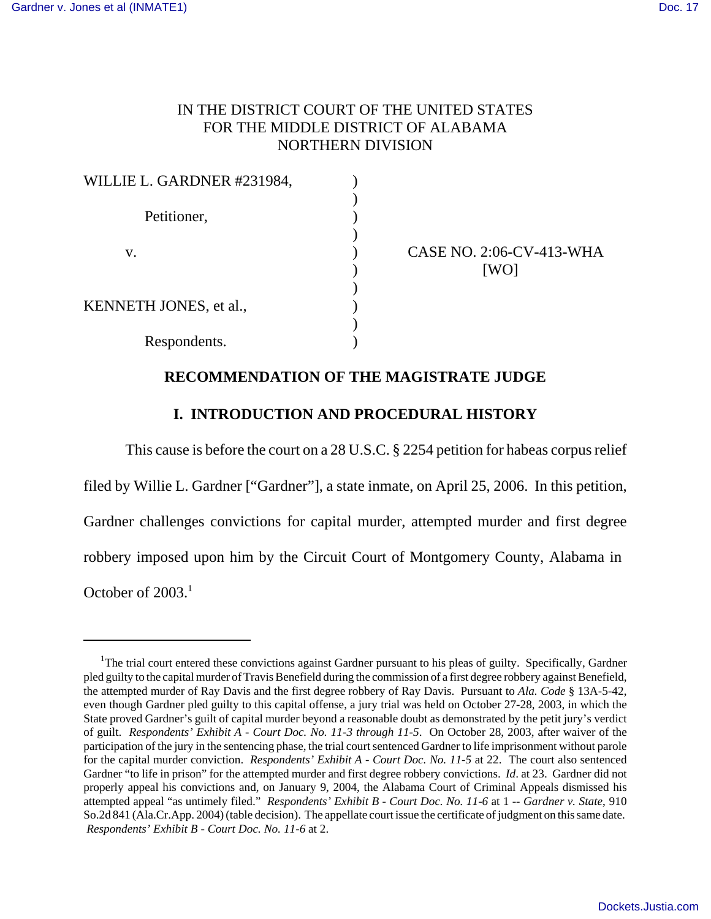# IN THE DISTRICT COURT OF THE UNITED STATES FOR THE MIDDLE DISTRICT OF ALABAMA NORTHERN DIVISION

| WILLIE L. GARDNER #231984, |  |
|----------------------------|--|
|                            |  |
| Petitioner,                |  |
|                            |  |
| v.                         |  |
|                            |  |
|                            |  |
| KENNETH JONES, et al.,     |  |
|                            |  |
| Respondents.               |  |

CASE NO. 2:06-CV-413-WHA  $[WO]$ 

## **RECOMMENDATION OF THE MAGISTRATE JUDGE**

## **I. INTRODUCTION AND PROCEDURAL HISTORY**

This cause is before the court on a 28 U.S.C. § 2254 petition for habeas corpus relief

filed by Willie L. Gardner ["Gardner"], a state inmate, on April 25, 2006. In this petition, Gardner challenges convictions for capital murder, attempted murder and first degree robbery imposed upon him by the Circuit Court of Montgomery County, Alabama in October of 2003.<sup>1</sup>

<sup>&</sup>lt;sup>1</sup>The trial court entered these convictions against Gardner pursuant to his pleas of guilty. Specifically, Gardner pled guilty to the capital murder of Travis Benefield during the commission of a first degree robbery against Benefield, the attempted murder of Ray Davis and the first degree robbery of Ray Davis. Pursuant to *Ala. Code* § 13A-5-42, even though Gardner pled guilty to this capital offense, a jury trial was held on October 27-28, 2003, in which the State proved Gardner's guilt of capital murder beyond a reasonable doubt as demonstrated by the petit jury's verdict of guilt. *Respondents' Exhibit A - Court Doc. No. 11-3 through 11-5*. On October 28, 2003, after waiver of the participation of the jury in the sentencing phase, the trial court sentenced Gardner to life imprisonment without parole for the capital murder conviction. *Respondents' Exhibit A - Court Doc. No. 11-5* at 22. The court also sentenced Gardner "to life in prison" for the attempted murder and first degree robbery convictions. *Id*. at 23. Gardner did not properly appeal his convictions and, on January 9, 2004, the Alabama Court of Criminal Appeals dismissed his attempted appeal "as untimely filed." *Respondents' Exhibit B - Court Doc. No. 11-6* at 1 *-- Gardner v. State*, 910 So.2d 841 (Ala.Cr.App. 2004) (table decision). The appellate court issue the certificate of judgment on this same date. *Respondents' Exhibit B - Court Doc. No. 11-6* at 2.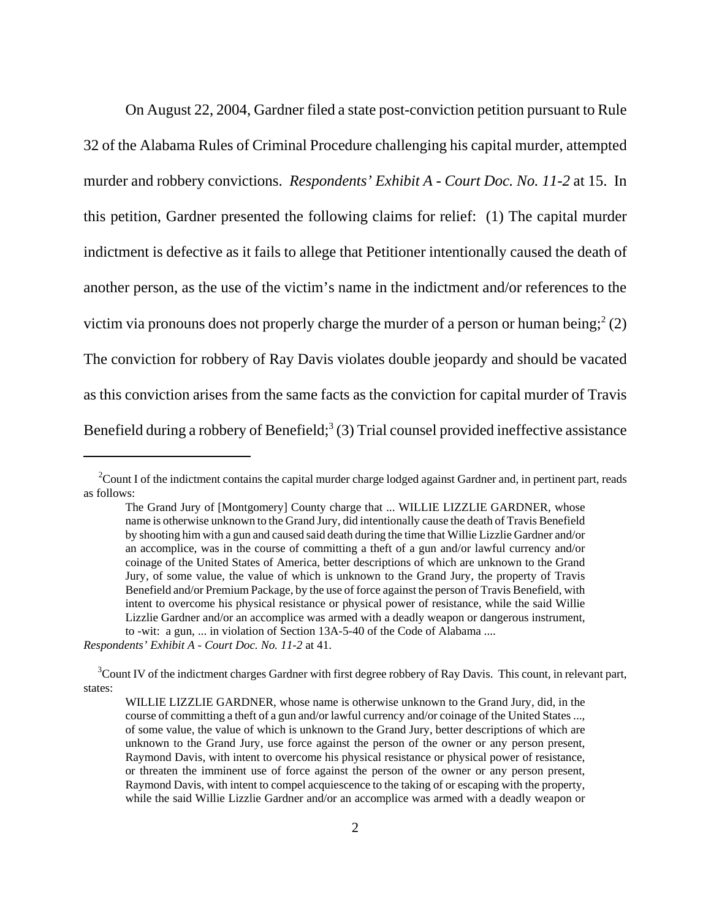On August 22, 2004, Gardner filed a state post-conviction petition pursuant to Rule 32 of the Alabama Rules of Criminal Procedure challenging his capital murder, attempted murder and robbery convictions. *Respondents' Exhibit A - Court Doc. No. 11-2* at 15. In this petition, Gardner presented the following claims for relief: (1) The capital murder indictment is defective as it fails to allege that Petitioner intentionally caused the death of another person, as the use of the victim's name in the indictment and/or references to the victim via pronouns does not properly charge the murder of a person or human being;  $2(2)$ The conviction for robbery of Ray Davis violates double jeopardy and should be vacated as this conviction arises from the same facts as the conviction for capital murder of Travis Benefield during a robbery of Benefield;<sup>3</sup> (3) Trial counsel provided ineffective assistance

<sup>&</sup>lt;sup>2</sup>Count I of the indictment contains the capital murder charge lodged against Gardner and, in pertinent part, reads as follows:

The Grand Jury of [Montgomery] County charge that ... WILLIE LIZZLIE GARDNER, whose name is otherwise unknown to the Grand Jury, did intentionally cause the death of Travis Benefield by shooting him with a gun and caused said death during the time that Willie Lizzlie Gardner and/or an accomplice, was in the course of committing a theft of a gun and/or lawful currency and/or coinage of the United States of America, better descriptions of which are unknown to the Grand Jury, of some value, the value of which is unknown to the Grand Jury, the property of Travis Benefield and/or Premium Package, by the use of force against the person of Travis Benefield, with intent to overcome his physical resistance or physical power of resistance, while the said Willie Lizzlie Gardner and/or an accomplice was armed with a deadly weapon or dangerous instrument, to -wit: a gun, ... in violation of Section 13A-5-40 of the Code of Alabama ....

*Respondents' Exhibit A - Court Doc. No. 11-2* at 41.

<sup>&</sup>lt;sup>3</sup>Count IV of the indictment charges Gardner with first degree robbery of Ray Davis. This count, in relevant part, states:

WILLIE LIZZLIE GARDNER, whose name is otherwise unknown to the Grand Jury, did, in the course of committing a theft of a gun and/or lawful currency and/or coinage of the United States ..., of some value, the value of which is unknown to the Grand Jury, better descriptions of which are unknown to the Grand Jury, use force against the person of the owner or any person present, Raymond Davis, with intent to overcome his physical resistance or physical power of resistance, or threaten the imminent use of force against the person of the owner or any person present, Raymond Davis, with intent to compel acquiescence to the taking of or escaping with the property, while the said Willie Lizzlie Gardner and/or an accomplice was armed with a deadly weapon or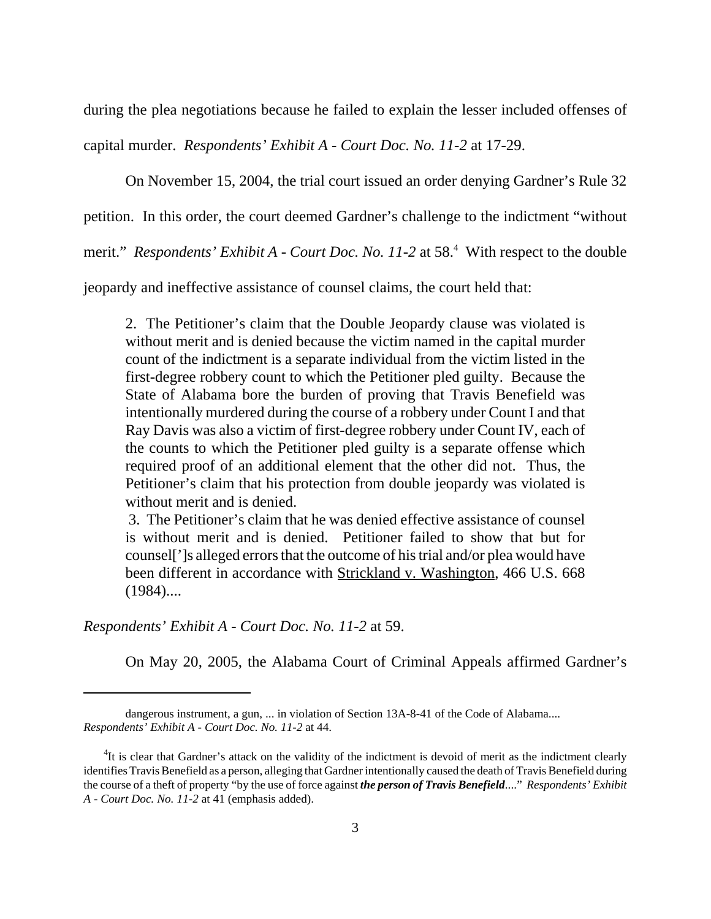during the plea negotiations because he failed to explain the lesser included offenses of

capital murder. *Respondents' Exhibit A - Court Doc. No. 11-2* at 17-29.

On November 15, 2004, the trial court issued an order denying Gardner's Rule 32

petition. In this order, the court deemed Gardner's challenge to the indictment "without

merit." *Respondents' Exhibit A - Court Doc. No. 11-2* at 58.<sup>4</sup> With respect to the double

jeopardy and ineffective assistance of counsel claims, the court held that:

2. The Petitioner's claim that the Double Jeopardy clause was violated is without merit and is denied because the victim named in the capital murder count of the indictment is a separate individual from the victim listed in the first-degree robbery count to which the Petitioner pled guilty. Because the State of Alabama bore the burden of proving that Travis Benefield was intentionally murdered during the course of a robbery under Count I and that Ray Davis was also a victim of first-degree robbery under Count IV, each of the counts to which the Petitioner pled guilty is a separate offense which required proof of an additional element that the other did not. Thus, the Petitioner's claim that his protection from double jeopardy was violated is without merit and is denied.

 3. The Petitioner's claim that he was denied effective assistance of counsel is without merit and is denied. Petitioner failed to show that but for counsel[']s alleged errors that the outcome of his trial and/or plea would have been different in accordance with Strickland v. Washington, 466 U.S. 668  $(1984)$ ....

*Respondents' Exhibit A - Court Doc. No. 11-2* at 59.

On May 20, 2005, the Alabama Court of Criminal Appeals affirmed Gardner's

dangerous instrument, a gun, ... in violation of Section 13A-8-41 of the Code of Alabama.... *Respondents' Exhibit A - Court Doc. No. 11-2* at 44.

<sup>&</sup>lt;sup>4</sup>It is clear that Gardner's attack on the validity of the indictment is devoid of merit as the indictment clearly identifies Travis Benefield as a person, alleging that Gardner intentionally caused the death of Travis Benefield during the course of a theft of property "by the use of force against *the person of Travis Benefield*...." *Respondents' Exhibit A - Court Doc. No. 11-2* at 41 (emphasis added).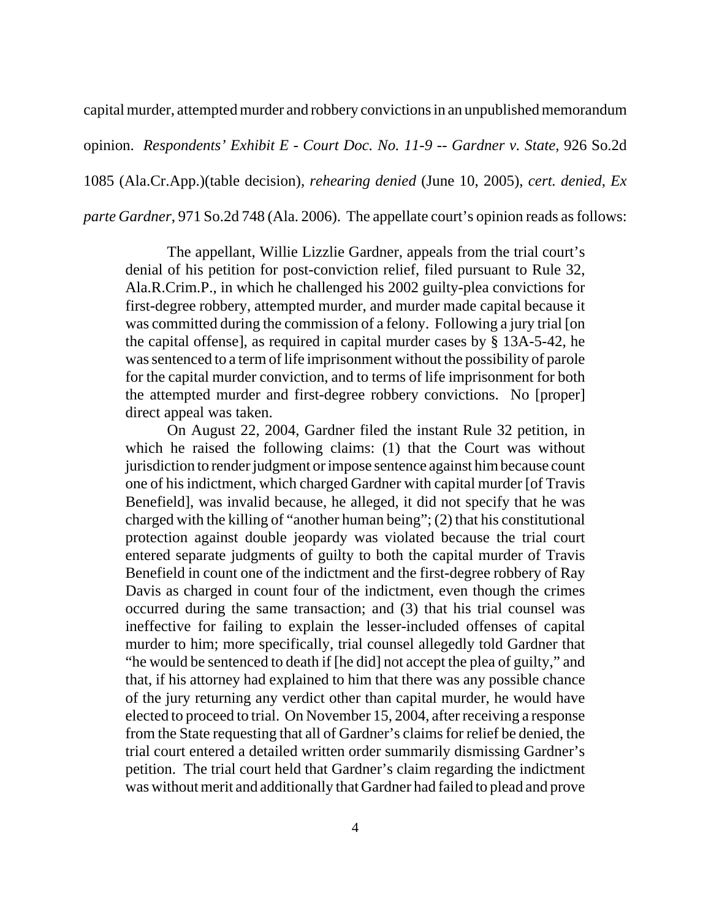capital murder, attempted murder and robbery convictions in an unpublished memorandum

opinion. *Respondents' Exhibit E - Court Doc. No. 11-9 -- Gardner v. State*, 926 So.2d

1085 (Ala.Cr.App.)(table decision), *rehearing denied* (June 10, 2005), *cert. denied*, *Ex*

*parte Gardner*, 971 So.2d 748 (Ala. 2006). The appellate court's opinion reads as follows:

 The appellant, Willie Lizzlie Gardner, appeals from the trial court's denial of his petition for post-conviction relief, filed pursuant to Rule 32, Ala.R.Crim.P., in which he challenged his 2002 guilty-plea convictions for first-degree robbery, attempted murder, and murder made capital because it was committed during the commission of a felony. Following a jury trial [on the capital offense], as required in capital murder cases by § 13A-5-42, he was sentenced to a term of life imprisonment without the possibility of parole for the capital murder conviction, and to terms of life imprisonment for both the attempted murder and first-degree robbery convictions. No [proper] direct appeal was taken.

On August 22, 2004, Gardner filed the instant Rule 32 petition, in which he raised the following claims: (1) that the Court was without jurisdiction to render judgment or impose sentence against him because count one of his indictment, which charged Gardner with capital murder [of Travis Benefield], was invalid because, he alleged, it did not specify that he was charged with the killing of "another human being"; (2) that his constitutional protection against double jeopardy was violated because the trial court entered separate judgments of guilty to both the capital murder of Travis Benefield in count one of the indictment and the first-degree robbery of Ray Davis as charged in count four of the indictment, even though the crimes occurred during the same transaction; and (3) that his trial counsel was ineffective for failing to explain the lesser-included offenses of capital murder to him; more specifically, trial counsel allegedly told Gardner that "he would be sentenced to death if [he did] not accept the plea of guilty," and that, if his attorney had explained to him that there was any possible chance of the jury returning any verdict other than capital murder, he would have elected to proceed to trial. On November 15, 2004, after receiving a response from the State requesting that all of Gardner's claims for relief be denied, the trial court entered a detailed written order summarily dismissing Gardner's petition. The trial court held that Gardner's claim regarding the indictment was without merit and additionally that Gardner had failed to plead and prove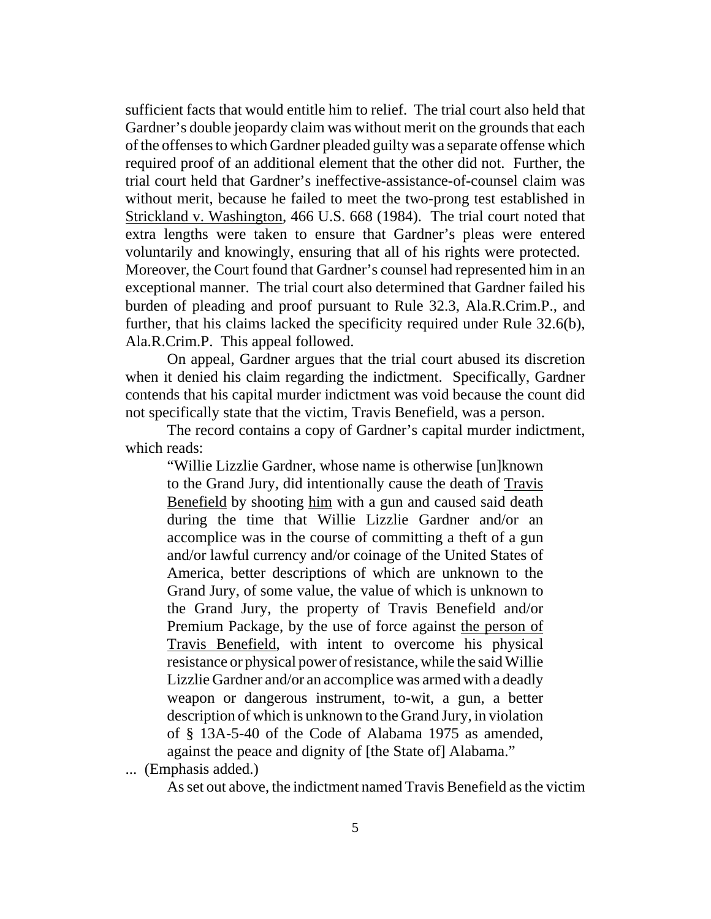sufficient facts that would entitle him to relief. The trial court also held that Gardner's double jeopardy claim was without merit on the grounds that each of the offenses to which Gardner pleaded guilty was a separate offense which required proof of an additional element that the other did not. Further, the trial court held that Gardner's ineffective-assistance-of-counsel claim was without merit, because he failed to meet the two-prong test established in Strickland v. Washington, 466 U.S. 668 (1984). The trial court noted that extra lengths were taken to ensure that Gardner's pleas were entered voluntarily and knowingly, ensuring that all of his rights were protected. Moreover, the Court found that Gardner's counsel had represented him in an exceptional manner. The trial court also determined that Gardner failed his burden of pleading and proof pursuant to Rule 32.3, Ala.R.Crim.P., and further, that his claims lacked the specificity required under Rule 32.6(b), Ala.R.Crim.P. This appeal followed.

On appeal, Gardner argues that the trial court abused its discretion when it denied his claim regarding the indictment. Specifically, Gardner contends that his capital murder indictment was void because the count did not specifically state that the victim, Travis Benefield, was a person.

The record contains a copy of Gardner's capital murder indictment, which reads:

"Willie Lizzlie Gardner, whose name is otherwise [un]known to the Grand Jury, did intentionally cause the death of Travis Benefield by shooting him with a gun and caused said death during the time that Willie Lizzlie Gardner and/or an accomplice was in the course of committing a theft of a gun and/or lawful currency and/or coinage of the United States of America, better descriptions of which are unknown to the Grand Jury, of some value, the value of which is unknown to the Grand Jury, the property of Travis Benefield and/or Premium Package, by the use of force against the person of Travis Benefield, with intent to overcome his physical resistance or physical power of resistance, while the said Willie Lizzlie Gardner and/or an accomplice was armed with a deadly weapon or dangerous instrument, to-wit, a gun, a better description of which is unknown to the Grand Jury, in violation of § 13A-5-40 of the Code of Alabama 1975 as amended, against the peace and dignity of [the State of] Alabama."

... (Emphasis added.)

As set out above, the indictment named Travis Benefield as the victim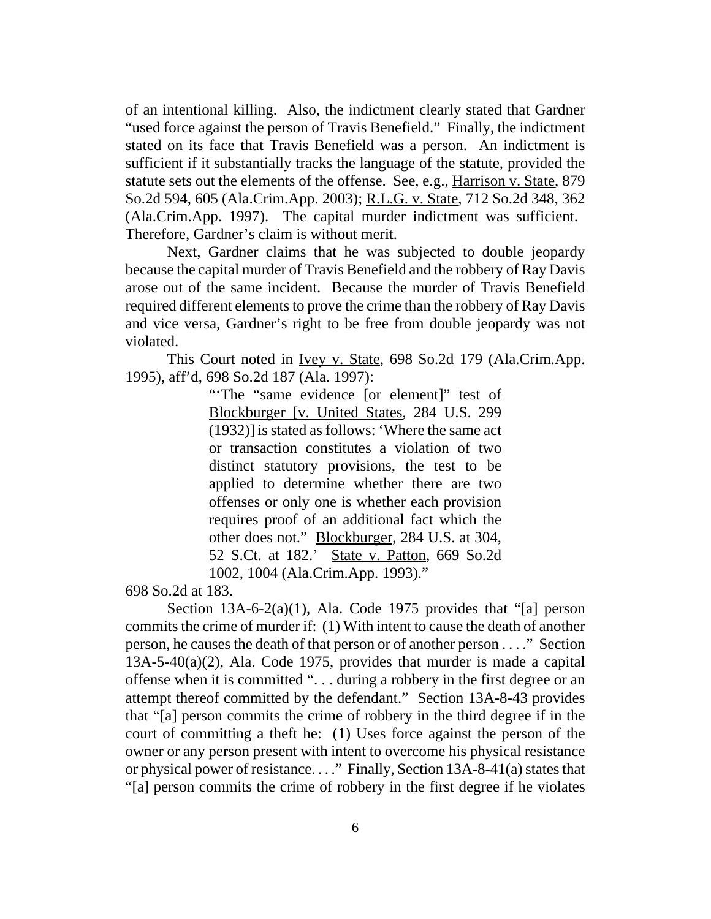of an intentional killing. Also, the indictment clearly stated that Gardner "used force against the person of Travis Benefield." Finally, the indictment stated on its face that Travis Benefield was a person. An indictment is sufficient if it substantially tracks the language of the statute, provided the statute sets out the elements of the offense. See, e.g., Harrison v. State, 879 So.2d 594, 605 (Ala.Crim.App. 2003); R.L.G. v. State, 712 So.2d 348, 362 (Ala.Crim.App. 1997). The capital murder indictment was sufficient. Therefore, Gardner's claim is without merit.

Next, Gardner claims that he was subjected to double jeopardy because the capital murder of Travis Benefield and the robbery of Ray Davis arose out of the same incident. Because the murder of Travis Benefield required different elements to prove the crime than the robbery of Ray Davis and vice versa, Gardner's right to be free from double jeopardy was not violated.

This Court noted in Ivey v. State, 698 So.2d 179 (Ala.Crim.App. 1995), aff'd, 698 So.2d 187 (Ala. 1997):

> "The "same evidence [or element]" test of Blockburger [v. United States, 284 U.S. 299 (1932)] is stated as follows: 'Where the same act or transaction constitutes a violation of two distinct statutory provisions, the test to be applied to determine whether there are two offenses or only one is whether each provision requires proof of an additional fact which the other does not." Blockburger, 284 U.S. at 304, 52 S.Ct. at 182.' State v. Patton, 669 So.2d 1002, 1004 (Ala.Crim.App. 1993)."

698 So.2d at 183.

Section  $13A-6-2(a)(1)$ , Ala. Code 1975 provides that "[a] person commits the crime of murder if: (1) With intent to cause the death of another person, he causes the death of that person or of another person . . . ." Section 13A-5-40(a)(2), Ala. Code 1975, provides that murder is made a capital offense when it is committed ". . . during a robbery in the first degree or an attempt thereof committed by the defendant." Section 13A-8-43 provides that "[a] person commits the crime of robbery in the third degree if in the court of committing a theft he: (1) Uses force against the person of the owner or any person present with intent to overcome his physical resistance or physical power of resistance. . . ." Finally, Section 13A-8-41(a) states that "[a] person commits the crime of robbery in the first degree if he violates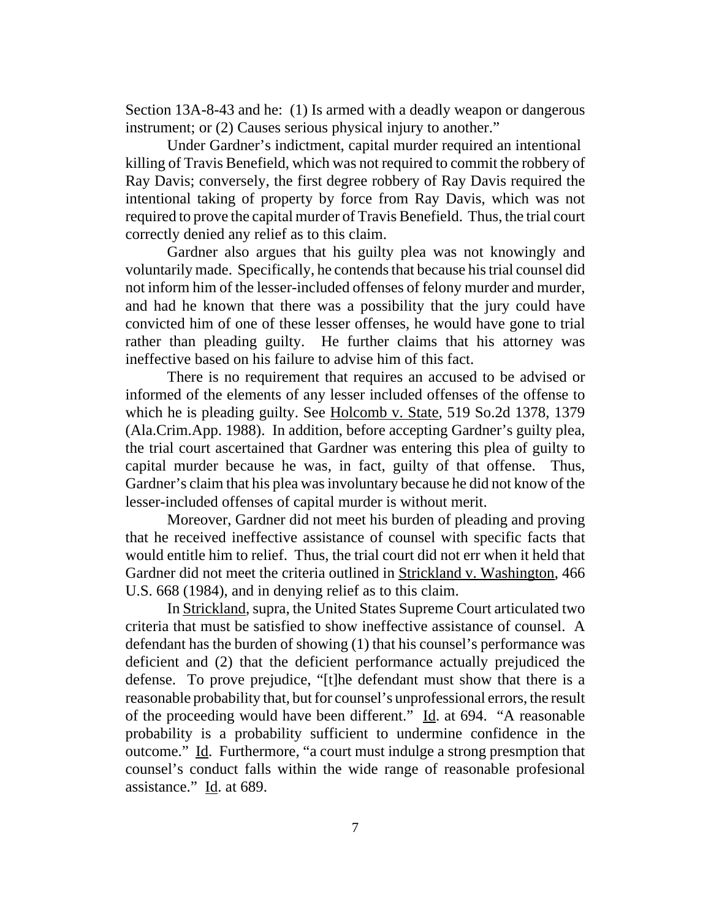Section 13A-8-43 and he: (1) Is armed with a deadly weapon or dangerous instrument; or (2) Causes serious physical injury to another."

Under Gardner's indictment, capital murder required an intentional killing of Travis Benefield, which was not required to commit the robbery of Ray Davis; conversely, the first degree robbery of Ray Davis required the intentional taking of property by force from Ray Davis, which was not required to prove the capital murder of Travis Benefield. Thus, the trial court correctly denied any relief as to this claim.

Gardner also argues that his guilty plea was not knowingly and voluntarily made. Specifically, he contends that because his trial counsel did not inform him of the lesser-included offenses of felony murder and murder, and had he known that there was a possibility that the jury could have convicted him of one of these lesser offenses, he would have gone to trial rather than pleading guilty. He further claims that his attorney was ineffective based on his failure to advise him of this fact.

There is no requirement that requires an accused to be advised or informed of the elements of any lesser included offenses of the offense to which he is pleading guilty. See Holcomb v. State, 519 So.2d 1378, 1379 (Ala.Crim.App. 1988). In addition, before accepting Gardner's guilty plea, the trial court ascertained that Gardner was entering this plea of guilty to capital murder because he was, in fact, guilty of that offense. Thus, Gardner's claim that his plea was involuntary because he did not know of the lesser-included offenses of capital murder is without merit.

Moreover, Gardner did not meet his burden of pleading and proving that he received ineffective assistance of counsel with specific facts that would entitle him to relief. Thus, the trial court did not err when it held that Gardner did not meet the criteria outlined in Strickland v. Washington, 466 U.S. 668 (1984), and in denying relief as to this claim.

In Strickland, supra, the United States Supreme Court articulated two criteria that must be satisfied to show ineffective assistance of counsel. A defendant has the burden of showing (1) that his counsel's performance was deficient and (2) that the deficient performance actually prejudiced the defense. To prove prejudice, "[t]he defendant must show that there is a reasonable probability that, but for counsel's unprofessional errors, the result of the proceeding would have been different."  $\underline{Id}$ . at 694. "A reasonable probability is a probability sufficient to undermine confidence in the outcome." Id. Furthermore, "a court must indulge a strong presmption that counsel's conduct falls within the wide range of reasonable profesional assistance." Id. at 689.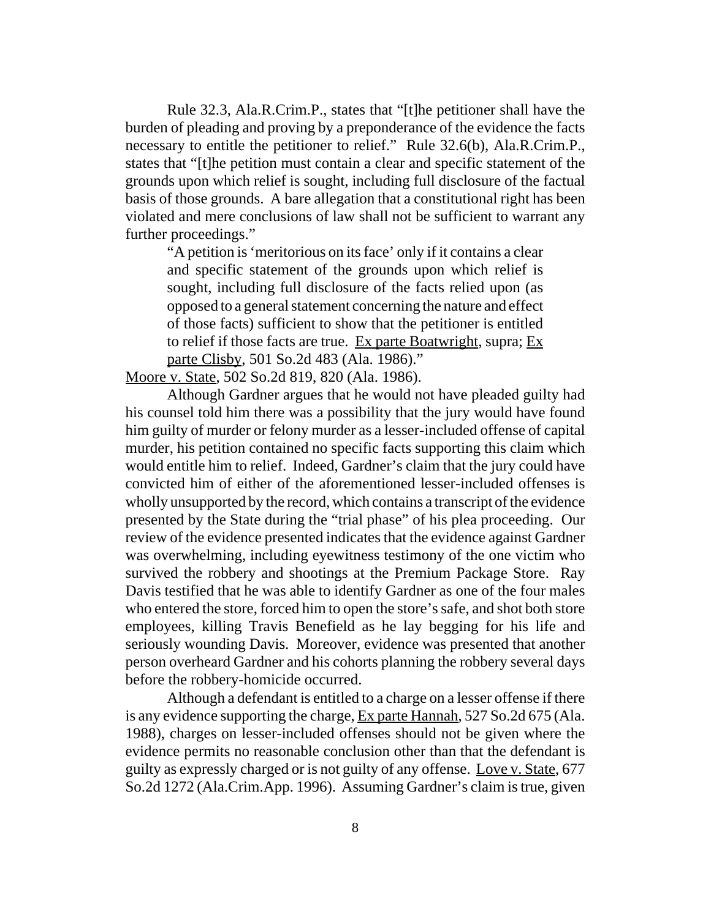Rule 32.3, Ala.R.Crim.P., states that "[t]he petitioner shall have the burden of pleading and proving by a preponderance of the evidence the facts necessary to entitle the petitioner to relief." Rule 32.6(b), Ala.R.Crim.P., states that "[t]he petition must contain a clear and specific statement of the grounds upon which relief is sought, including full disclosure of the factual basis of those grounds. A bare allegation that a constitutional right has been violated and mere conclusions of law shall not be sufficient to warrant any further proceedings."

"A petition is 'meritorious on its face' only if it contains a clear and specific statement of the grounds upon which relief is sought, including full disclosure of the facts relied upon (as opposed to a general statement concerning the nature and effect of those facts) sufficient to show that the petitioner is entitled to relief if those facts are true. Ex parte Boatwright, supra; Ex parte Clisby, 501 So.2d 483 (Ala. 1986)."

Moore v. State, 502 So.2d 819, 820 (Ala. 1986).

Although Gardner argues that he would not have pleaded guilty had his counsel told him there was a possibility that the jury would have found him guilty of murder or felony murder as a lesser-included offense of capital murder, his petition contained no specific facts supporting this claim which would entitle him to relief. Indeed, Gardner's claim that the jury could have convicted him of either of the aforementioned lesser-included offenses is wholly unsupported by the record, which contains a transcript of the evidence presented by the State during the "trial phase" of his plea proceeding. Our review of the evidence presented indicates that the evidence against Gardner was overwhelming, including eyewitness testimony of the one victim who survived the robbery and shootings at the Premium Package Store. Ray Davis testified that he was able to identify Gardner as one of the four males who entered the store, forced him to open the store's safe, and shot both store employees, killing Travis Benefield as he lay begging for his life and seriously wounding Davis. Moreover, evidence was presented that another person overheard Gardner and his cohorts planning the robbery several days before the robbery-homicide occurred.

Although a defendant is entitled to a charge on a lesser offense if there is any evidence supporting the charge, Ex parte Hannah, 527 So.2d 675 (Ala. 1988), charges on lesser-included offenses should not be given where the evidence permits no reasonable conclusion other than that the defendant is guilty as expressly charged or is not guilty of any offense. Love v. State, 677 So.2d 1272 (Ala.Crim.App. 1996). Assuming Gardner's claim is true, given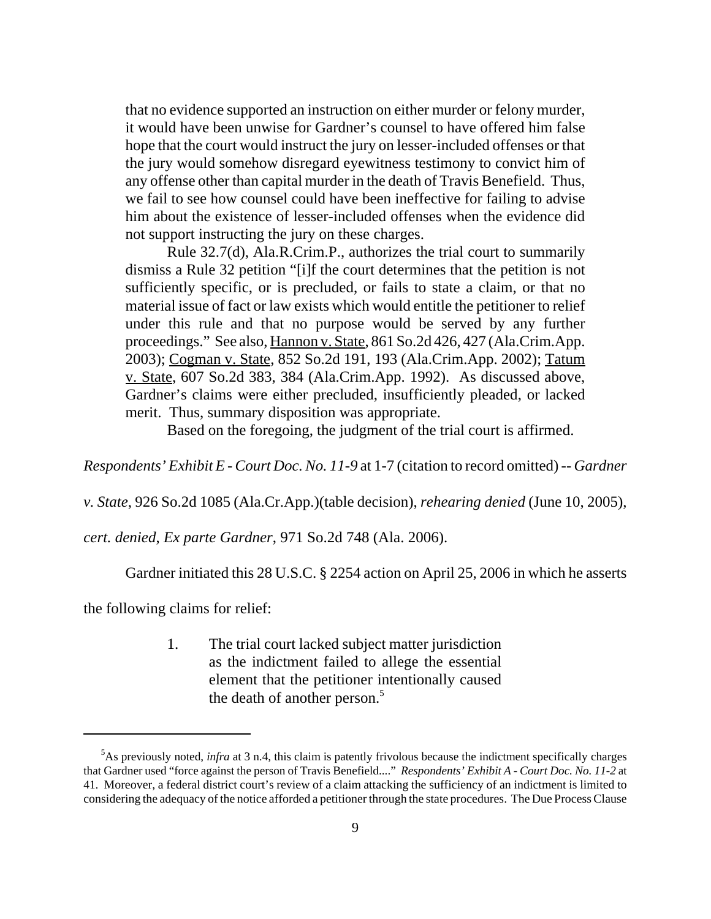that no evidence supported an instruction on either murder or felony murder, it would have been unwise for Gardner's counsel to have offered him false hope that the court would instruct the jury on lesser-included offenses or that the jury would somehow disregard eyewitness testimony to convict him of any offense other than capital murder in the death of Travis Benefield. Thus, we fail to see how counsel could have been ineffective for failing to advise him about the existence of lesser-included offenses when the evidence did not support instructing the jury on these charges.

Rule 32.7(d), Ala.R.Crim.P., authorizes the trial court to summarily dismiss a Rule 32 petition "[i]f the court determines that the petition is not sufficiently specific, or is precluded, or fails to state a claim, or that no material issue of fact or law exists which would entitle the petitioner to relief under this rule and that no purpose would be served by any further proceedings." See also, Hannon v. State, 861 So.2d 426, 427 (Ala.Crim.App. 2003); Cogman v. State, 852 So.2d 191, 193 (Ala.Crim.App. 2002); Tatum v. State, 607 So.2d 383, 384 (Ala.Crim.App. 1992). As discussed above, Gardner's claims were either precluded, insufficiently pleaded, or lacked merit. Thus, summary disposition was appropriate.

Based on the foregoing, the judgment of the trial court is affirmed.

*Respondents' Exhibit E - Court Doc. No. 11-9* at 1-7 (citation to record omitted) *-- Gardner*

*v. State*, 926 So.2d 1085 (Ala.Cr.App.)(table decision), *rehearing denied* (June 10, 2005),

*cert. denied*, *Ex parte Gardner*, 971 So.2d 748 (Ala. 2006).

Gardner initiated this 28 U.S.C. § 2254 action on April 25, 2006 in which he asserts

the following claims for relief:

1. The trial court lacked subject matter jurisdiction as the indictment failed to allege the essential element that the petitioner intentionally caused the death of another person.<sup>5</sup>

<sup>&</sup>lt;sup>5</sup>As previously noted, *infra* at 3 n.4, this claim is patently frivolous because the indictment specifically charges that Gardner used "force against the person of Travis Benefield...." *Respondents' Exhibit A - Court Doc. No. 11-2* at 41. Moreover, a federal district court's review of a claim attacking the sufficiency of an indictment is limited to considering the adequacy of the notice afforded a petitioner through the state procedures. The Due Process Clause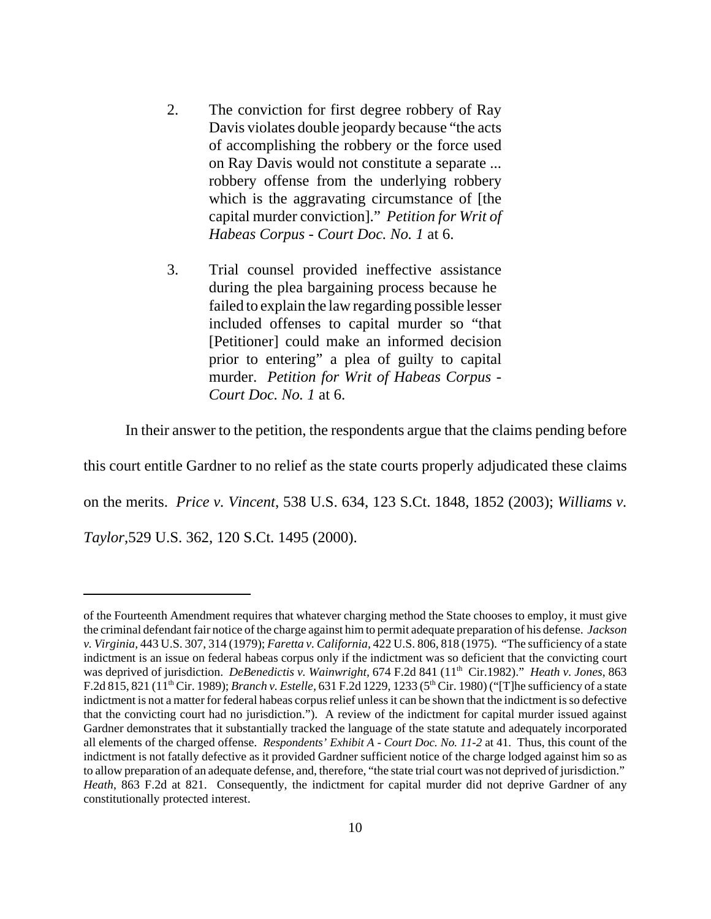- 2. The conviction for first degree robbery of Ray Davis violates double jeopardy because "the acts of accomplishing the robbery or the force used on Ray Davis would not constitute a separate ... robbery offense from the underlying robbery which is the aggravating circumstance of [the capital murder conviction]." *Petition for Writ of Habeas Corpus - Court Doc. No. 1* at 6.
- 3. Trial counsel provided ineffective assistance during the plea bargaining process because he failed to explain the law regarding possible lesser included offenses to capital murder so "that [Petitioner] could make an informed decision prior to entering" a plea of guilty to capital murder. *Petition for Writ of Habeas Corpus - Court Doc. No. 1* at 6.

In their answer to the petition, the respondents argue that the claims pending before

this court entitle Gardner to no relief as the state courts properly adjudicated these claims on the merits. *Price v. Vincent*, 538 U.S. 634, 123 S.Ct. 1848, 1852 (2003); *Williams v. Taylor*,529 U.S. 362, 120 S.Ct. 1495 (2000).

of the Fourteenth Amendment requires that whatever charging method the State chooses to employ, it must give the criminal defendant fair notice of the charge against him to permit adequate preparation of his defense. *Jackson v. Virginia,* 443 U.S. 307, 314 (1979); *Faretta v. California,* 422 U.S. 806, 818 (1975). "The sufficiency of a state indictment is an issue on federal habeas corpus only if the indictment was so deficient that the convicting court was deprived of jurisdiction. *DeBenedictis v. Wainwright,* 674 F.2d 841 (11<sup>th</sup> Cir.1982)." *Heath v. Jones*, 863 F.2d 815, 821 (11th Cir. 1989); *Branch v. Estelle,* 631 F.2d 1229, 1233 (5th Cir. 1980) ("[T]he sufficiency of a state indictment is not a matter for federal habeas corpus relief unless it can be shown that the indictment is so defective that the convicting court had no jurisdiction."). A review of the indictment for capital murder issued against Gardner demonstrates that it substantially tracked the language of the state statute and adequately incorporated all elements of the charged offense. *Respondents' Exhibit A - Court Doc. No. 11-2* at 41. Thus, this count of the indictment is not fatally defective as it provided Gardner sufficient notice of the charge lodged against him so as to allow preparation of an adequate defense, and, therefore, "the state trial court was not deprived of jurisdiction." *Heath*, 863 F.2d at 821. Consequently, the indictment for capital murder did not deprive Gardner of any constitutionally protected interest.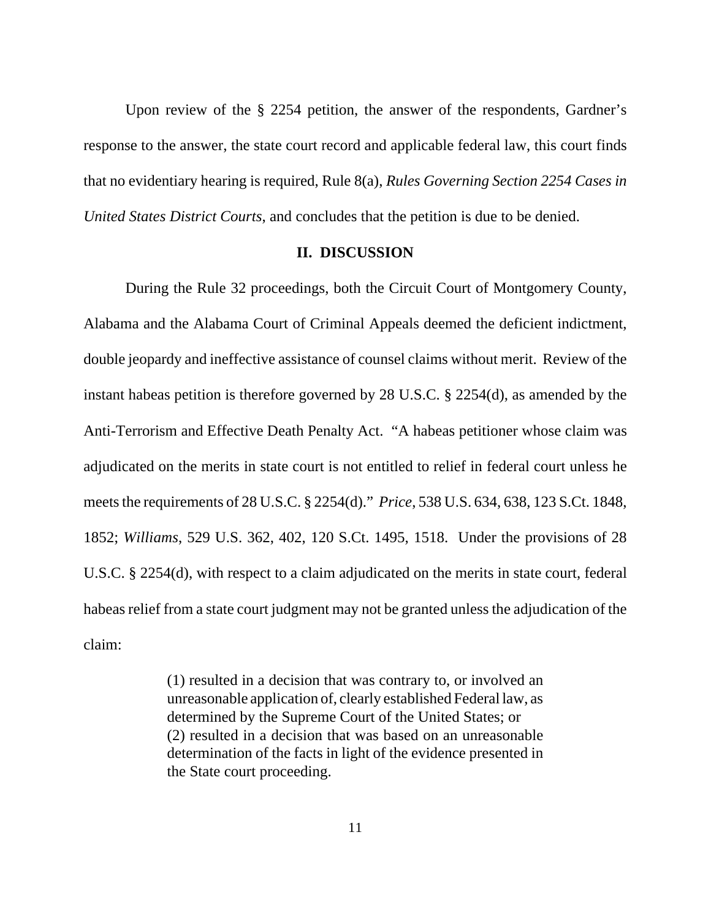Upon review of the § 2254 petition, the answer of the respondents, Gardner's response to the answer, the state court record and applicable federal law, this court finds that no evidentiary hearing is required, Rule 8(a), *Rules Governing Section 2254 Cases in United States District Courts*, and concludes that the petition is due to be denied.

#### **II. DISCUSSION**

During the Rule 32 proceedings, both the Circuit Court of Montgomery County, Alabama and the Alabama Court of Criminal Appeals deemed the deficient indictment, double jeopardy and ineffective assistance of counsel claims without merit. Review of the instant habeas petition is therefore governed by 28 U.S.C. § 2254(d), as amended by the Anti-Terrorism and Effective Death Penalty Act. "A habeas petitioner whose claim was adjudicated on the merits in state court is not entitled to relief in federal court unless he meets the requirements of 28 U.S.C. § 2254(d)." *Price*, 538 U.S. 634, 638, 123 S.Ct. 1848, 1852; *Williams*, 529 U.S. 362, 402, 120 S.Ct. 1495, 1518. Under the provisions of 28 U.S.C. § 2254(d), with respect to a claim adjudicated on the merits in state court, federal habeas relief from a state court judgment may not be granted unless the adjudication of the claim:

> (1) resulted in a decision that was contrary to, or involved an unreasonable application of, clearly established Federal law, as determined by the Supreme Court of the United States; or (2) resulted in a decision that was based on an unreasonable determination of the facts in light of the evidence presented in the State court proceeding.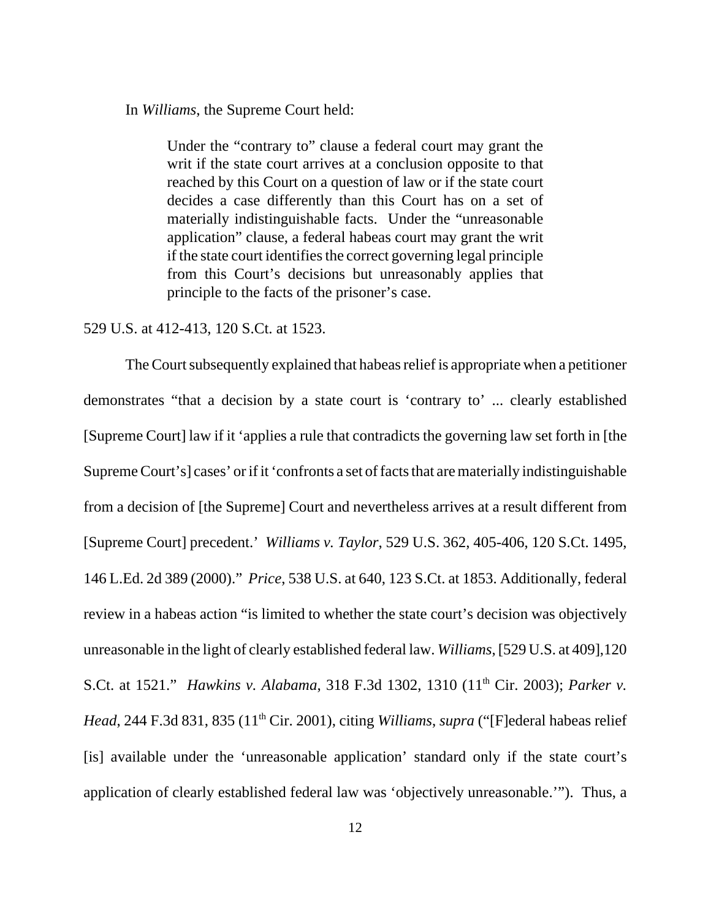In *Williams*, the Supreme Court held:

Under the "contrary to" clause a federal court may grant the writ if the state court arrives at a conclusion opposite to that reached by this Court on a question of law or if the state court decides a case differently than this Court has on a set of materially indistinguishable facts. Under the "unreasonable application" clause, a federal habeas court may grant the writ if the state court identifies the correct governing legal principle from this Court's decisions but unreasonably applies that principle to the facts of the prisoner's case.

#### 529 U.S. at 412-413, 120 S.Ct. at 1523.

The Court subsequently explained that habeas relief is appropriate when a petitioner demonstrates "that a decision by a state court is 'contrary to' ... clearly established [Supreme Court] law if it 'applies a rule that contradicts the governing law set forth in [the Supreme Court's] cases' or if it 'confronts a set of facts that are materially indistinguishable from a decision of [the Supreme] Court and nevertheless arrives at a result different from [Supreme Court] precedent.' *Williams v. Taylor*, 529 U.S. 362, 405-406, 120 S.Ct. 1495, 146 L.Ed. 2d 389 (2000)." *Price*, 538 U.S. at 640, 123 S.Ct. at 1853. Additionally, federal review in a habeas action "is limited to whether the state court's decision was objectively unreasonable in the light of clearly established federal law. *Williams*, [529 U.S. at 409],120 S.Ct. at 1521." *Hawkins v. Alabama*, 318 F.3d 1302, 1310 (11th Cir. 2003); *Parker v. Head*, 244 F.3d 831, 835 (11<sup>th</sup> Cir. 2001), citing *Williams*, *supra* ("[F]ederal habeas relief [is] available under the 'unreasonable application' standard only if the state court's application of clearly established federal law was 'objectively unreasonable.'"). Thus, a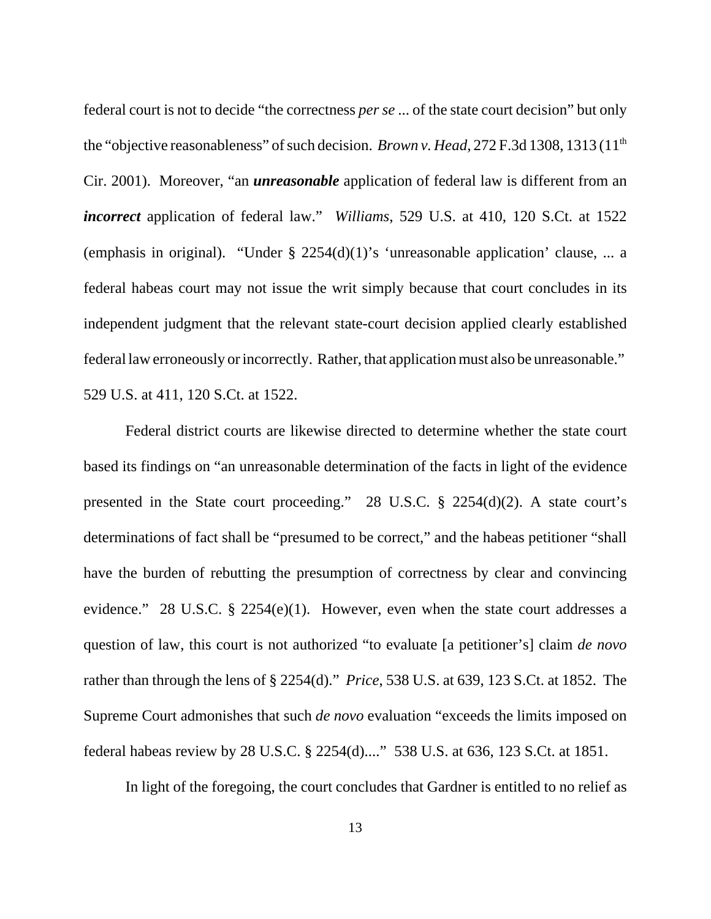federal court is not to decide "the correctness *per se* ... of the state court decision" but only the "objective reasonableness" of such decision. *Brown v. Head*, 272 F.3d 1308, 1313 (11<sup>th</sup>) Cir. 2001). Moreover, "an *unreasonable* application of federal law is different from an *incorrect* application of federal law." *Williams*, 529 U.S. at 410, 120 S.Ct. at 1522 (emphasis in original). "Under § 2254(d)(1)'s 'unreasonable application' clause, ... a federal habeas court may not issue the writ simply because that court concludes in its independent judgment that the relevant state-court decision applied clearly established federal law erroneously or incorrectly. Rather, that application must also be unreasonable." 529 U.S. at 411, 120 S.Ct. at 1522.

Federal district courts are likewise directed to determine whether the state court based its findings on "an unreasonable determination of the facts in light of the evidence presented in the State court proceeding." 28 U.S.C. § 2254(d)(2). A state court's determinations of fact shall be "presumed to be correct," and the habeas petitioner "shall have the burden of rebutting the presumption of correctness by clear and convincing evidence." 28 U.S.C. § 2254(e)(1). However, even when the state court addresses a question of law, this court is not authorized "to evaluate [a petitioner's] claim *de novo* rather than through the lens of § 2254(d)." *Price*, 538 U.S. at 639, 123 S.Ct. at 1852. The Supreme Court admonishes that such *de novo* evaluation "exceeds the limits imposed on federal habeas review by 28 U.S.C. § 2254(d)...." 538 U.S. at 636, 123 S.Ct. at 1851.

In light of the foregoing, the court concludes that Gardner is entitled to no relief as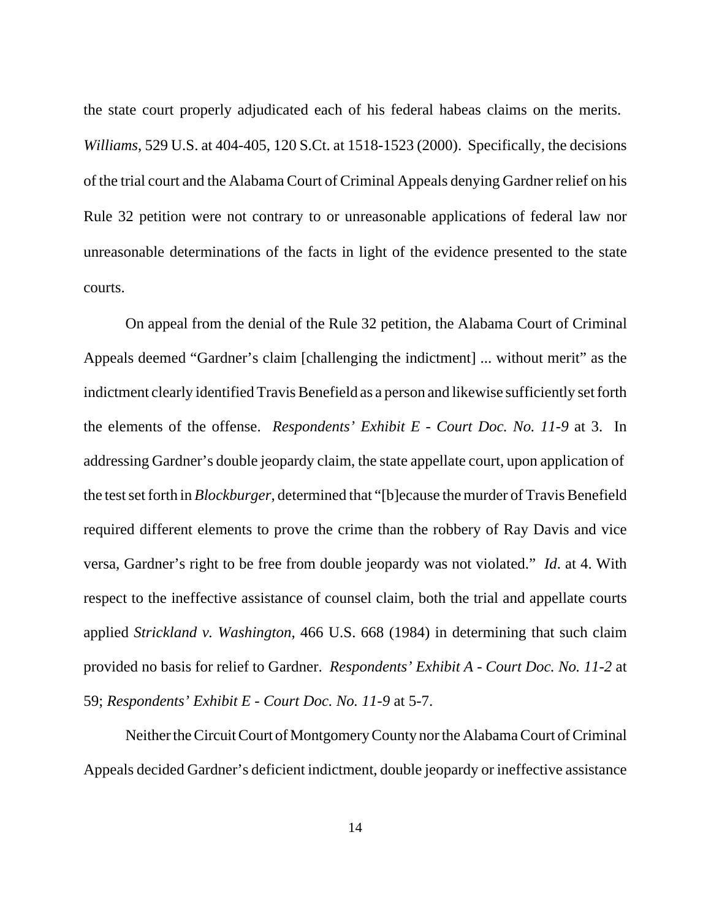the state court properly adjudicated each of his federal habeas claims on the merits. *Williams*, 529 U.S. at 404-405, 120 S.Ct. at 1518-1523 (2000). Specifically, the decisions of the trial court and the Alabama Court of Criminal Appeals denying Gardner relief on his Rule 32 petition were not contrary to or unreasonable applications of federal law nor unreasonable determinations of the facts in light of the evidence presented to the state courts.

On appeal from the denial of the Rule 32 petition, the Alabama Court of Criminal Appeals deemed "Gardner's claim [challenging the indictment] ... without merit" as the indictment clearly identified Travis Benefield as a person and likewise sufficiently set forth the elements of the offense. *Respondents' Exhibit E - Court Doc. No. 11-9* at 3. In addressing Gardner's double jeopardy claim, the state appellate court, upon application of the test set forth in *Blockburger*, determined that "[b]ecause the murder of Travis Benefield required different elements to prove the crime than the robbery of Ray Davis and vice versa, Gardner's right to be free from double jeopardy was not violated." *Id*. at 4. With respect to the ineffective assistance of counsel claim, both the trial and appellate courts applied *Strickland v. Washington*, 466 U.S. 668 (1984) in determining that such claim provided no basis for relief to Gardner. *Respondents' Exhibit A - Court Doc. No. 11-2* at 59; *Respondents' Exhibit E - Court Doc. No. 11-9* at 5-7.

Neither the Circuit Court of Montgomery County nor the Alabama Court of Criminal Appeals decided Gardner's deficient indictment, double jeopardy or ineffective assistance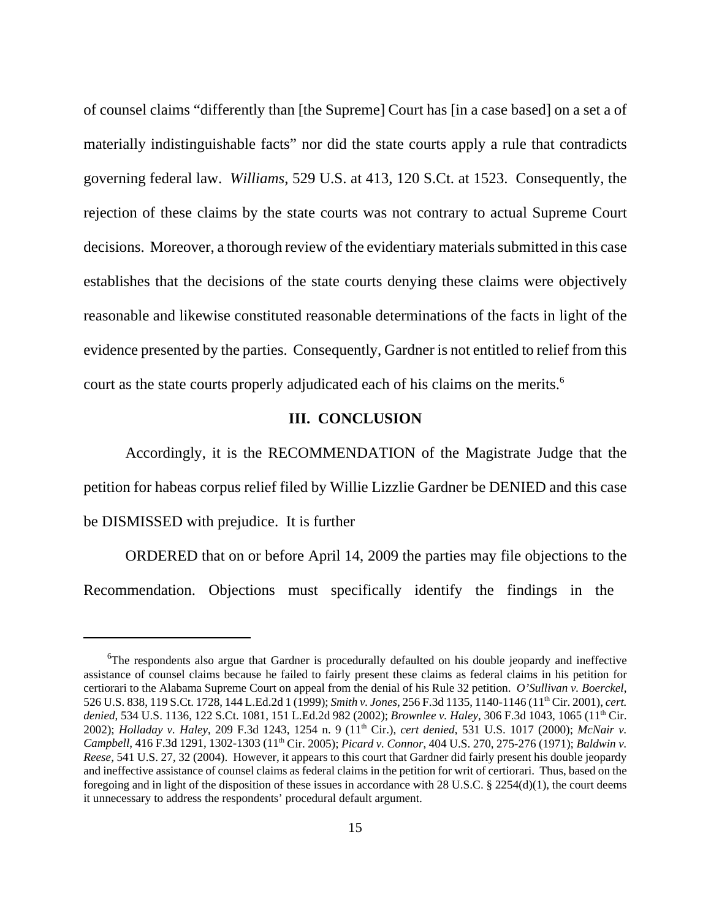of counsel claims "differently than [the Supreme] Court has [in a case based] on a set a of materially indistinguishable facts" nor did the state courts apply a rule that contradicts governing federal law. *Williams*, 529 U.S. at 413, 120 S.Ct. at 1523. Consequently, the rejection of these claims by the state courts was not contrary to actual Supreme Court decisions. Moreover, a thorough review of the evidentiary materials submitted in this case establishes that the decisions of the state courts denying these claims were objectively reasonable and likewise constituted reasonable determinations of the facts in light of the evidence presented by the parties. Consequently, Gardner is not entitled to relief from this court as the state courts properly adjudicated each of his claims on the merits.<sup>6</sup>

### **III. CONCLUSION**

Accordingly, it is the RECOMMENDATION of the Magistrate Judge that the petition for habeas corpus relief filed by Willie Lizzlie Gardner be DENIED and this case be DISMISSED with prejudice. It is further

ORDERED that on or before April 14, 2009 the parties may file objections to the Recommendation. Objections must specifically identify the findings in the

<sup>&</sup>lt;sup>6</sup>The respondents also argue that Gardner is procedurally defaulted on his double jeopardy and ineffective assistance of counsel claims because he failed to fairly present these claims as federal claims in his petition for certiorari to the Alabama Supreme Court on appeal from the denial of his Rule 32 petition. *O'Sullivan v. Boerckel*, 526 U.S. 838, 119 S.Ct. 1728, 144 L.Ed.2d 1 (1999); *Smith v. Jones*, 256 F.3d 1135, 1140-1146 (11th Cir. 2001), *cert. denied*, 534 U.S. 1136, 122 S.Ct. 1081, 151 L.Ed.2d 982 (2002); *Brownlee v. Haley*, 306 F.3d 1043, 1065 (11th Cir. 2002); *Holladay v. Haley*, 209 F.3d 1243, 1254 n. 9 (11<sup>th</sup> Cir.), *cert denied*, 531 U.S. 1017 (2000); *McNair v. Campbell*, 416 F.3d 1291, 1302-1303 (11<sup>th</sup> Cir. 2005); *Picard v. Connor*, 404 U.S. 270, 275-276 (1971); *Baldwin v. Reese*, 541 U.S. 27, 32 (2004). However, it appears to this court that Gardner did fairly present his double jeopardy and ineffective assistance of counsel claims as federal claims in the petition for writ of certiorari. Thus, based on the foregoing and in light of the disposition of these issues in accordance with 28 U.S.C.  $\S$  2254(d)(1), the court deems it unnecessary to address the respondents' procedural default argument.